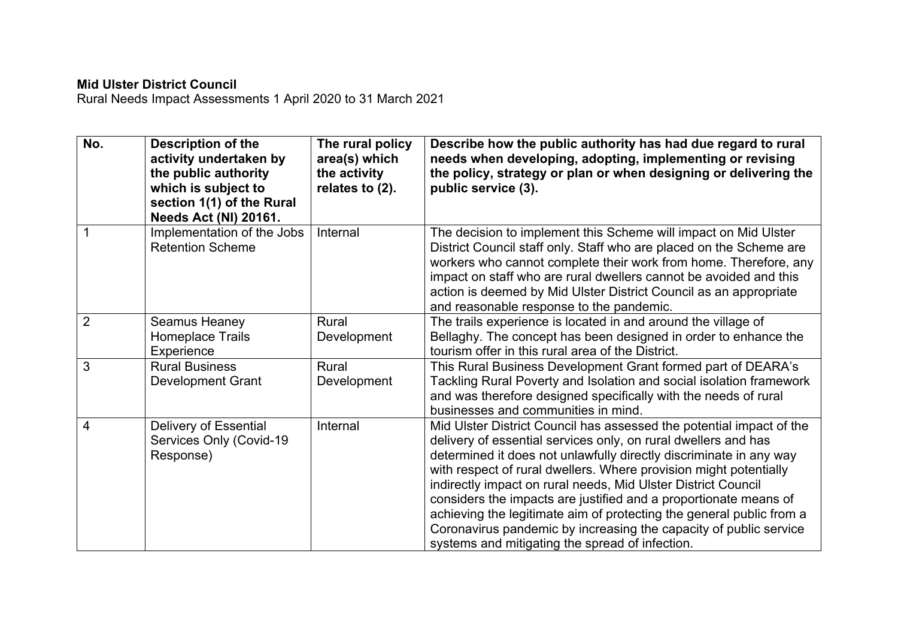## **Mid Ulster District Council**

Rural Needs Impact Assessments 1 April 2020 to 31 March 2021

| No.            | <b>Description of the</b><br>activity undertaken by<br>the public authority<br>which is subject to<br>section 1(1) of the Rural<br><b>Needs Act (NI) 20161.</b> | The rural policy<br>area(s) which<br>the activity<br>relates to (2). | Describe how the public authority has had due regard to rural<br>needs when developing, adopting, implementing or revising<br>the policy, strategy or plan or when designing or delivering the<br>public service (3).                                                                                                                                                                                                                                                                                                                                                                                                  |
|----------------|-----------------------------------------------------------------------------------------------------------------------------------------------------------------|----------------------------------------------------------------------|------------------------------------------------------------------------------------------------------------------------------------------------------------------------------------------------------------------------------------------------------------------------------------------------------------------------------------------------------------------------------------------------------------------------------------------------------------------------------------------------------------------------------------------------------------------------------------------------------------------------|
|                | Implementation of the Jobs<br><b>Retention Scheme</b>                                                                                                           | Internal                                                             | The decision to implement this Scheme will impact on Mid Ulster<br>District Council staff only. Staff who are placed on the Scheme are<br>workers who cannot complete their work from home. Therefore, any<br>impact on staff who are rural dwellers cannot be avoided and this<br>action is deemed by Mid Ulster District Council as an appropriate<br>and reasonable response to the pandemic.                                                                                                                                                                                                                       |
| $\overline{2}$ | Seamus Heaney<br>Homeplace Trails<br>Experience                                                                                                                 | Rural<br>Development                                                 | The trails experience is located in and around the village of<br>Bellaghy. The concept has been designed in order to enhance the<br>tourism offer in this rural area of the District.                                                                                                                                                                                                                                                                                                                                                                                                                                  |
| 3              | <b>Rural Business</b><br><b>Development Grant</b>                                                                                                               | Rural<br>Development                                                 | This Rural Business Development Grant formed part of DEARA's<br>Tackling Rural Poverty and Isolation and social isolation framework<br>and was therefore designed specifically with the needs of rural<br>businesses and communities in mind.                                                                                                                                                                                                                                                                                                                                                                          |
| 4              | Delivery of Essential<br>Services Only (Covid-19<br>Response)                                                                                                   | Internal                                                             | Mid Ulster District Council has assessed the potential impact of the<br>delivery of essential services only, on rural dwellers and has<br>determined it does not unlawfully directly discriminate in any way<br>with respect of rural dwellers. Where provision might potentially<br>indirectly impact on rural needs, Mid Ulster District Council<br>considers the impacts are justified and a proportionate means of<br>achieving the legitimate aim of protecting the general public from a<br>Coronavirus pandemic by increasing the capacity of public service<br>systems and mitigating the spread of infection. |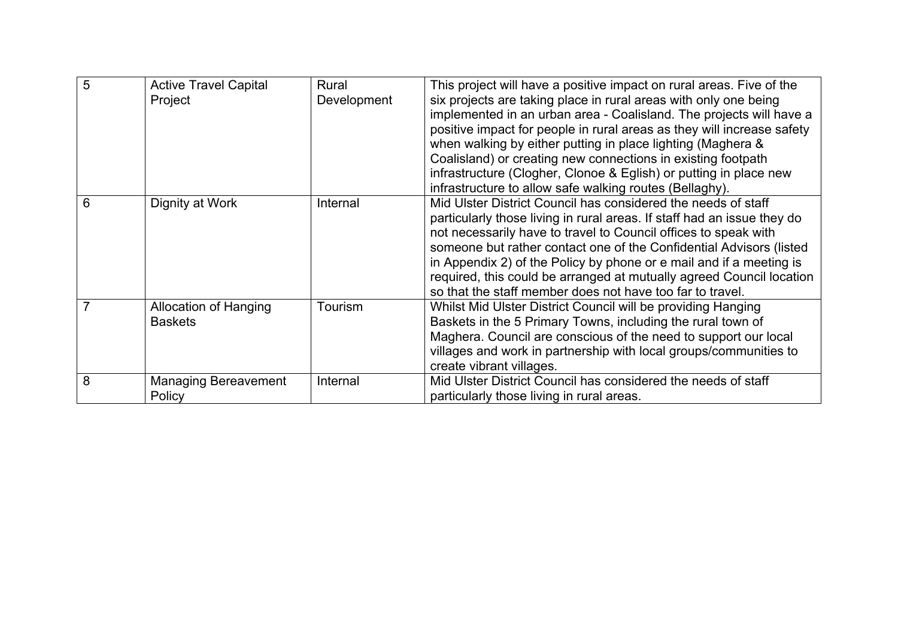| $\overline{5}$ | <b>Active Travel Capital</b> | Rural       | This project will have a positive impact on rural areas. Five of the    |
|----------------|------------------------------|-------------|-------------------------------------------------------------------------|
|                | Project                      | Development | six projects are taking place in rural areas with only one being        |
|                |                              |             | implemented in an urban area - Coalisland. The projects will have a     |
|                |                              |             | positive impact for people in rural areas as they will increase safety  |
|                |                              |             | when walking by either putting in place lighting (Maghera &             |
|                |                              |             | Coalisland) or creating new connections in existing footpath            |
|                |                              |             | infrastructure (Clogher, Clonoe & Eglish) or putting in place new       |
|                |                              |             | infrastructure to allow safe walking routes (Bellaghy).                 |
| 6              | Dignity at Work              | Internal    | Mid Ulster District Council has considered the needs of staff           |
|                |                              |             | particularly those living in rural areas. If staff had an issue they do |
|                |                              |             | not necessarily have to travel to Council offices to speak with         |
|                |                              |             | someone but rather contact one of the Confidential Advisors (listed     |
|                |                              |             | in Appendix 2) of the Policy by phone or e mail and if a meeting is     |
|                |                              |             | required, this could be arranged at mutually agreed Council location    |
|                |                              |             | so that the staff member does not have too far to travel.               |
|                | Allocation of Hanging        | Tourism     | Whilst Mid Ulster District Council will be providing Hanging            |
|                | <b>Baskets</b>               |             | Baskets in the 5 Primary Towns, including the rural town of             |
|                |                              |             | Maghera. Council are conscious of the need to support our local         |
|                |                              |             | villages and work in partnership with local groups/communities to       |
|                |                              |             | create vibrant villages.                                                |
| 8              | <b>Managing Bereavement</b>  | Internal    | Mid Ulster District Council has considered the needs of staff           |
|                | Policy                       |             | particularly those living in rural areas.                               |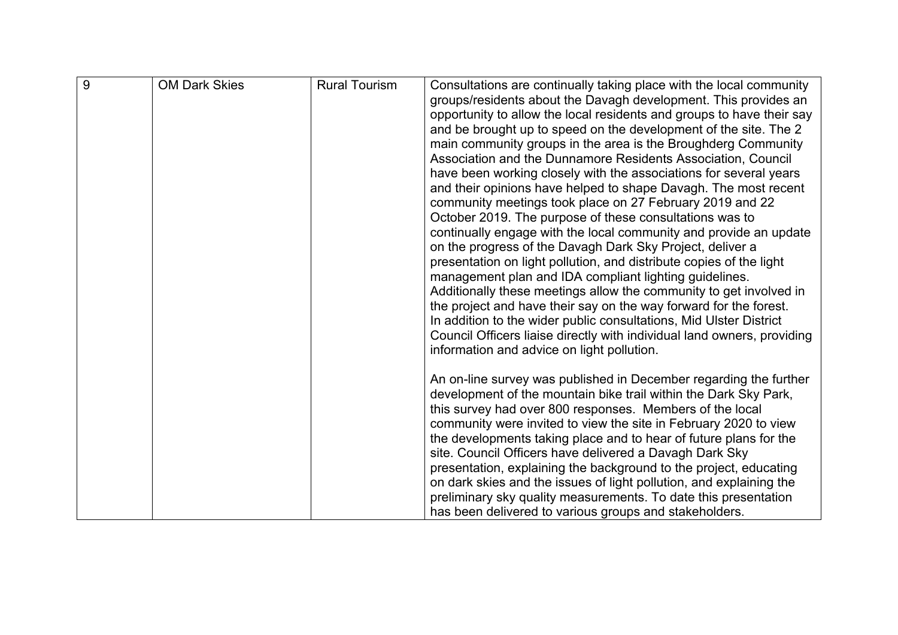| $\overline{9}$ | <b>OM Dark Skies</b> | <b>Rural Tourism</b> | Consultations are continually taking place with the local community     |
|----------------|----------------------|----------------------|-------------------------------------------------------------------------|
|                |                      |                      | groups/residents about the Davagh development. This provides an         |
|                |                      |                      | opportunity to allow the local residents and groups to have their say   |
|                |                      |                      | and be brought up to speed on the development of the site. The 2        |
|                |                      |                      | main community groups in the area is the Broughderg Community           |
|                |                      |                      | Association and the Dunnamore Residents Association, Council            |
|                |                      |                      | have been working closely with the associations for several years       |
|                |                      |                      | and their opinions have helped to shape Davagh. The most recent         |
|                |                      |                      | community meetings took place on 27 February 2019 and 22                |
|                |                      |                      | October 2019. The purpose of these consultations was to                 |
|                |                      |                      | continually engage with the local community and provide an update       |
|                |                      |                      | on the progress of the Davagh Dark Sky Project, deliver a               |
|                |                      |                      | presentation on light pollution, and distribute copies of the light     |
|                |                      |                      | management plan and IDA compliant lighting guidelines.                  |
|                |                      |                      | Additionally these meetings allow the community to get involved in      |
|                |                      |                      | the project and have their say on the way forward for the forest.       |
|                |                      |                      | In addition to the wider public consultations, Mid Ulster District      |
|                |                      |                      | Council Officers liaise directly with individual land owners, providing |
|                |                      |                      | information and advice on light pollution.                              |
|                |                      |                      |                                                                         |
|                |                      |                      | An on-line survey was published in December regarding the further       |
|                |                      |                      | development of the mountain bike trail within the Dark Sky Park,        |
|                |                      |                      | this survey had over 800 responses. Members of the local                |
|                |                      |                      | community were invited to view the site in February 2020 to view        |
|                |                      |                      | the developments taking place and to hear of future plans for the       |
|                |                      |                      | site. Council Officers have delivered a Davagh Dark Sky                 |
|                |                      |                      | presentation, explaining the background to the project, educating       |
|                |                      |                      | on dark skies and the issues of light pollution, and explaining the     |
|                |                      |                      | preliminary sky quality measurements. To date this presentation         |
|                |                      |                      | has been delivered to various groups and stakeholders.                  |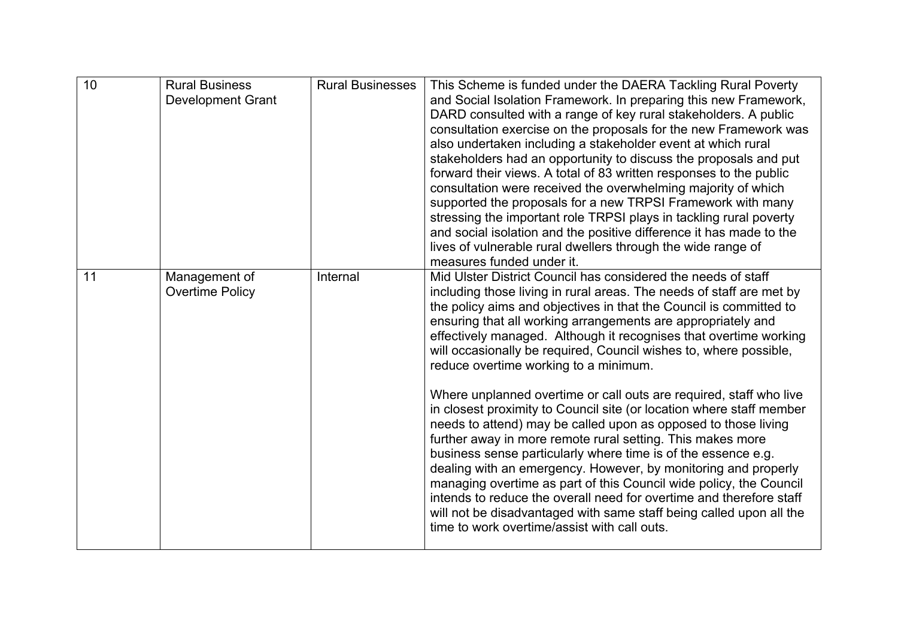| $\overline{10}$ | <b>Rural Business</b><br><b>Development Grant</b> | <b>Rural Businesses</b> | This Scheme is funded under the DAERA Tackling Rural Poverty<br>and Social Isolation Framework. In preparing this new Framework,<br>DARD consulted with a range of key rural stakeholders. A public<br>consultation exercise on the proposals for the new Framework was<br>also undertaken including a stakeholder event at which rural<br>stakeholders had an opportunity to discuss the proposals and put<br>forward their views. A total of 83 written responses to the public<br>consultation were received the overwhelming majority of which<br>supported the proposals for a new TRPSI Framework with many<br>stressing the important role TRPSI plays in tackling rural poverty<br>and social isolation and the positive difference it has made to the<br>lives of vulnerable rural dwellers through the wide range of<br>measures funded under it.                                                                                                                                                                                                                                                                                         |
|-----------------|---------------------------------------------------|-------------------------|-----------------------------------------------------------------------------------------------------------------------------------------------------------------------------------------------------------------------------------------------------------------------------------------------------------------------------------------------------------------------------------------------------------------------------------------------------------------------------------------------------------------------------------------------------------------------------------------------------------------------------------------------------------------------------------------------------------------------------------------------------------------------------------------------------------------------------------------------------------------------------------------------------------------------------------------------------------------------------------------------------------------------------------------------------------------------------------------------------------------------------------------------------|
| 11              | Management of<br><b>Overtime Policy</b>           | Internal                | Mid Ulster District Council has considered the needs of staff<br>including those living in rural areas. The needs of staff are met by<br>the policy aims and objectives in that the Council is committed to<br>ensuring that all working arrangements are appropriately and<br>effectively managed. Although it recognises that overtime working<br>will occasionally be required, Council wishes to, where possible,<br>reduce overtime working to a minimum.<br>Where unplanned overtime or call outs are required, staff who live<br>in closest proximity to Council site (or location where staff member<br>needs to attend) may be called upon as opposed to those living<br>further away in more remote rural setting. This makes more<br>business sense particularly where time is of the essence e.g.<br>dealing with an emergency. However, by monitoring and properly<br>managing overtime as part of this Council wide policy, the Council<br>intends to reduce the overall need for overtime and therefore staff<br>will not be disadvantaged with same staff being called upon all the<br>time to work overtime/assist with call outs. |